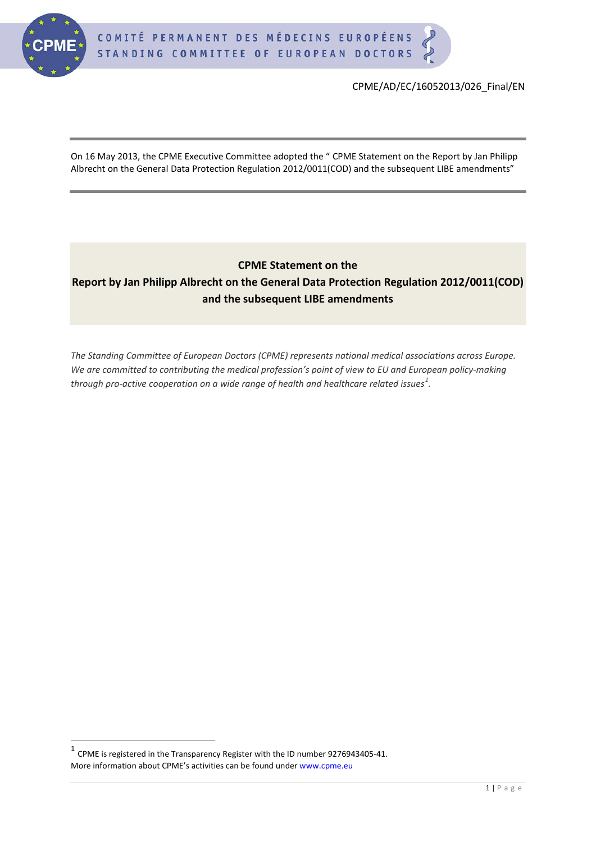

On 16 May 2013, the CPME Executive Committee adopted the " CPME Statement on the Report by Jan Philipp Albrecht on the General Data Protection Regulation 2012/0011(COD) and the subsequent LIBE amendments"

# **CPME Statement on the Report by Jan Philipp Albrecht on the General Data Protection Regulation 2012/0011(COD) and the subsequent LIBE amendments**

*The Standing Committee of European Doctors (CPME) represents national medical associations across Europe. We are committed to contributing the medical profession's point of view to EU and European policy-making through pro-active cooperation on a wide range of health and healthcare related issues[1](#page-0-0) .*

<span id="page-0-1"></span><span id="page-0-0"></span> $1$  CPME is registered in the Transparency Register with the ID number 9276943405-41. More information about CPME's activities can be found under www.cpme.eu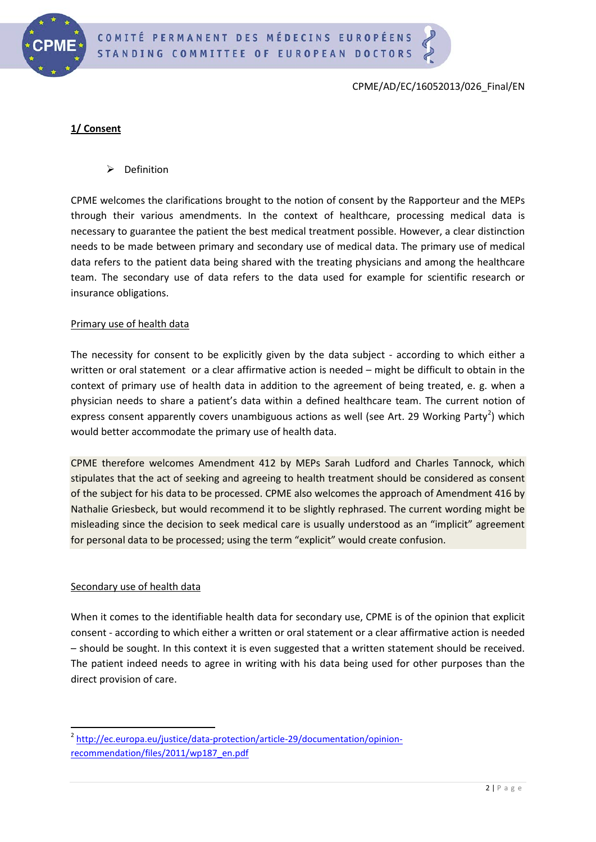

## **1/ Consent**

 $\triangleright$  Definition

CPME welcomes the clarifications brought to the notion of consent by the Rapporteur and the MEPs through their various amendments. In the context of healthcare, processing medical data is necessary to guarantee the patient the best medical treatment possible. However, a clear distinction needs to be made between primary and secondary use of medical data. The primary use of medical data refers to the patient data being shared with the treating physicians and among the healthcare team. The secondary use of data refers to the data used for example for scientific research or insurance obligations.

#### Primary use of health data

The necessity for consent to be explicitly given by the data subject - according to which either a written or oral statement or a clear affirmative action is needed – might be difficult to obtain in the context of primary use of health data in addition to the agreement of being treated, e. g. when a physician needs to share a patient's data within a defined healthcare team. The current notion of express consent apparently covers unambiguous actions as well (see Art. [2](#page-0-1)9 Working Party<sup>2</sup>) which would better accommodate the primary use of health data.

CPME therefore welcomes Amendment 412 by MEPs Sarah Ludford and Charles Tannock, which stipulates that the act of seeking and agreeing to health treatment should be considered as consent of the subject for his data to be processed. CPME also welcomes the approach of Amendment 416 by Nathalie Griesbeck, but would recommend it to be slightly rephrased. The current wording might be misleading since the decision to seek medical care is usually understood as an "implicit" agreement for personal data to be processed; using the term "explicit" would create confusion.

#### Secondary use of health data

When it comes to the identifiable health data for secondary use, CPME is of the opinion that explicit consent - according to which either a written or oral statement or a clear affirmative action is needed – should be sought. In this context it is even suggested that a written statement should be received. The patient indeed needs to agree in writing with his data being used for other purposes than the direct provision of care.

<sup>&</sup>lt;sup>2</sup> [http://ec.europa.eu/justice/data-protection/article-29/documentation/opinion](http://ec.europa.eu/justice/data-protection/article-29/documentation/opinion-recommendation/files/2011/wp187_en.pdf)[recommendation/files/2011/wp187\\_en.pdf](http://ec.europa.eu/justice/data-protection/article-29/documentation/opinion-recommendation/files/2011/wp187_en.pdf)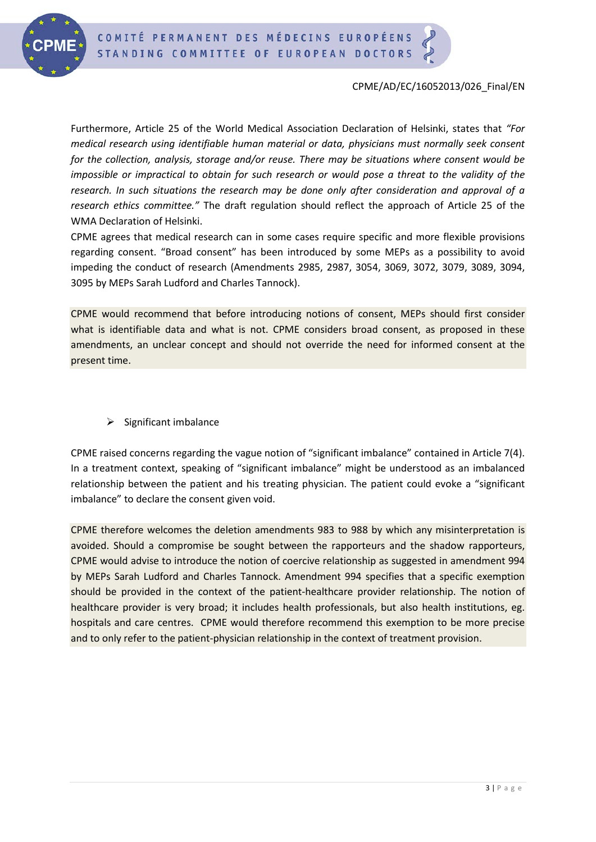

Furthermore, Article 25 of the World Medical Association Declaration of Helsinki, states that *"For medical research using identifiable human material or data, physicians must normally seek consent for the collection, analysis, storage and/or reuse. There may be situations where consent would be impossible or impractical to obtain for such research or would pose a threat to the validity of the research. In such situations the research may be done only after consideration and approval of a research ethics committee."* The draft regulation should reflect the approach of Article 25 of the WMA Declaration of Helsinki.

CPME agrees that medical research can in some cases require specific and more flexible provisions regarding consent. "Broad consent" has been introduced by some MEPs as a possibility to avoid impeding the conduct of research (Amendments 2985, 2987, 3054, 3069, 3072, 3079, 3089, 3094, 3095 by MEPs Sarah Ludford and Charles Tannock).

CPME would recommend that before introducing notions of consent, MEPs should first consider what is identifiable data and what is not. CPME considers broad consent, as proposed in these amendments, an unclear concept and should not override the need for informed consent at the present time.

 $\triangleright$  Significant imbalance

CPME raised concerns regarding the vague notion of "significant imbalance" contained in Article 7(4). In a treatment context, speaking of "significant imbalance" might be understood as an imbalanced relationship between the patient and his treating physician. The patient could evoke a "significant imbalance" to declare the consent given void.

CPME therefore welcomes the deletion amendments 983 to 988 by which any misinterpretation is avoided. Should a compromise be sought between the rapporteurs and the shadow rapporteurs, CPME would advise to introduce the notion of coercive relationship as suggested in amendment 994 by MEPs Sarah Ludford and Charles Tannock. Amendment 994 specifies that a specific exemption should be provided in the context of the patient-healthcare provider relationship. The notion of healthcare provider is very broad; it includes health professionals, but also health institutions, eg. hospitals and care centres. CPME would therefore recommend this exemption to be more precise and to only refer to the patient-physician relationship in the context of treatment provision.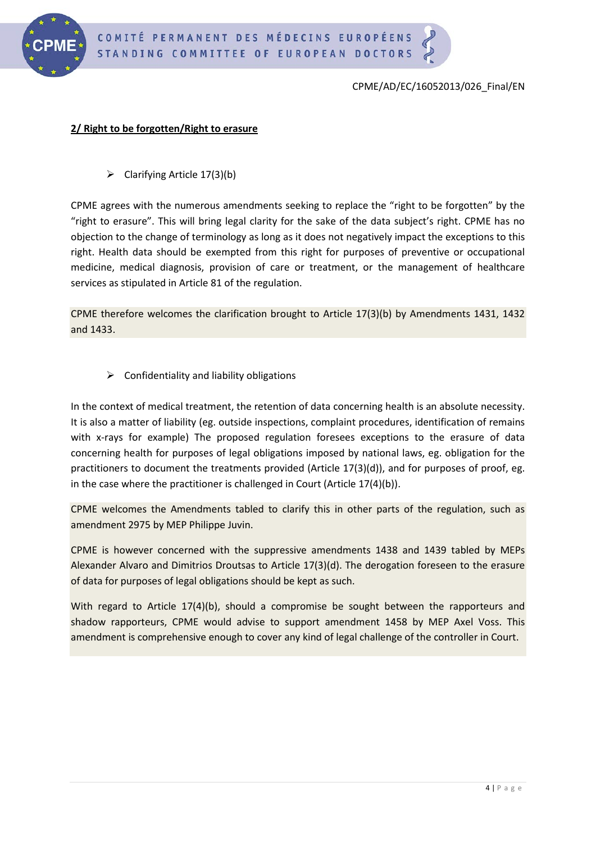

#### **2/ Right to be forgotten/Right to erasure**

 $\triangleright$  Clarifying Article 17(3)(b)

CPME agrees with the numerous amendments seeking to replace the "right to be forgotten" by the "right to erasure". This will bring legal clarity for the sake of the data subject's right. CPME has no objection to the change of terminology as long as it does not negatively impact the exceptions to this right. Health data should be exempted from this right for purposes of preventive or occupational medicine, medical diagnosis, provision of care or treatment, or the management of healthcare services as stipulated in Article 81 of the regulation.

CPME therefore welcomes the clarification brought to Article 17(3)(b) by Amendments 1431, 1432 and 1433.

 $\triangleright$  Confidentiality and liability obligations

In the context of medical treatment, the retention of data concerning health is an absolute necessity. It is also a matter of liability (eg. outside inspections, complaint procedures, identification of remains with x-rays for example) The proposed regulation foresees exceptions to the erasure of data concerning health for purposes of legal obligations imposed by national laws, eg. obligation for the practitioners to document the treatments provided (Article 17(3)(d)), and for purposes of proof, eg. in the case where the practitioner is challenged in Court (Article 17(4)(b)).

CPME welcomes the Amendments tabled to clarify this in other parts of the regulation, such as amendment 2975 by MEP Philippe Juvin.

CPME is however concerned with the suppressive amendments 1438 and 1439 tabled by MEPs Alexander Alvaro and Dimitrios Droutsas to Article 17(3)(d). The derogation foreseen to the erasure of data for purposes of legal obligations should be kept as such.

With regard to Article 17(4)(b), should a compromise be sought between the rapporteurs and shadow rapporteurs, CPME would advise to support amendment 1458 by MEP Axel Voss. This amendment is comprehensive enough to cover any kind of legal challenge of the controller in Court.